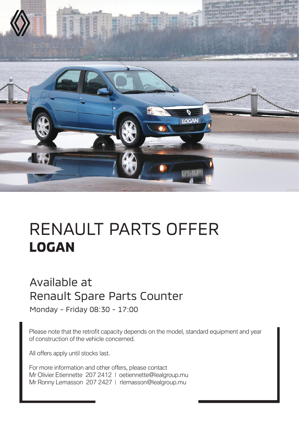

## RENAULT PARTS OFFER **LOGAN**

## Available at Renault Spare Parts Counter

Monday - Friday 08:30 - 17:00

Please note that the retrofit capacity depends on the model, standard equipment and year of construction of the vehicle concerned.

All offers apply until stocks last.

For more information and other offers, please contact Mr Olivier Etiennette 207 2412 | oetiennette@lealgroup.mu Mr Ronny Lemasson 207 2427 | rlemasson@lealgroup.mu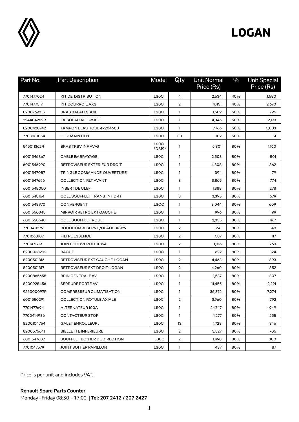

## **LOGAN**

| Part No.   | <b>Part Description</b>          | Model            | Qty            | <b>Unit Normal</b><br>Price (Rs) | $\frac{0}{0}$ | <b>Unit Special</b><br>Price (Rs) |
|------------|----------------------------------|------------------|----------------|----------------------------------|---------------|-----------------------------------|
| 7701477024 | KIT DE DISTRIBUTION              | <b>LSOC</b>      | 4              | 2,634                            | 40%           | 1,580                             |
| 7701477517 | KIT COURROIE AXS                 | <b>LSOC</b>      | $\overline{2}$ | 4,451                            | 40%           | 2,670                             |
| 8200769215 | <b>BRAS BALAI ESSUIE</b>         | <b>LSOC</b>      | $\mathbf{1}$   | 1,589                            | 50%           | 795                               |
| 224404252R | <b>FAISCEAU ALLUMAGE</b>         | <b>LSOC</b>      | 1              | 4,346                            | 50%           | 2,173                             |
| 8200420742 | TAMPON ELASTIQUE ex204600        | <b>LSOC</b>      | 1              | 7,766                            | 50%           | 3,883                             |
| 7703081054 | <b>CLIP MAINTIEN</b>             | <b>LSOC</b>      | 30             | 102                              | 50%           | 51                                |
| 545011362R | <b>BRAS TRSV INF AV/G</b>        | LSOC<br>*DS19*   | 1              | 5,801                            | 80%           | 1,160                             |
| 6001546867 | <b>CABLE EMBRAYAGE</b>           | <b>LSOC</b>      | 1              | 2,503                            | 80%           | 501                               |
| 6001546990 | RETROVISEUR EXTERIEUR DROIT      | <b>LSOC</b>      | $\mathbf{1}$   | 4,308                            | 80%           | 862                               |
| 6001547087 | TRINGLE COMMANDE OUVERTURE       | <b>LSOC</b>      | $\mathbf{1}$   | 394                              | 80%           | 79                                |
| 6001547696 | <b>COLLECTION RLT AVANT</b>      | <b>LSOC</b>      | 3              | 3,869                            | 80%           | 774                               |
| 6001548050 | <b>INSERT DE CLEF</b>            | <b>LSOC</b>      | 1              | 1,388                            | 80%           | 278                               |
| 6001548164 | COLL SOUFFLET TRANS INT DRT      | <b>LSOC</b>      | 3              | 3,395                            | 80%           | 679                               |
| 6001548970 | CONVERGENT                       | <b>LSOC</b>      | 1              | 3,044                            | 80%           | 609                               |
| 6001550345 | <b>MIRROIR RETRO EXT GAUCHE</b>  | <b>LSOC</b>      | $\mathbf{1}$   | 996                              | 80%           | 199                               |
| 6001550548 | <b>COLL SOUFFLET ROUE</b>        | <b>LSOC</b>      | $\mathbf{1}$   | 2,335                            | 80%           | 467                               |
| 7700411279 | BOUCHON RESERV L/GLACE .X8129    | <b>LSOC</b>      | $\overline{2}$ | 241                              | 80%           | 48                                |
| 7701068107 | <b>FILTRE ESSENCE</b>            | <b>LSOC</b>      | $\overline{2}$ | 587                              | 80%           | 117                               |
| 7701471719 | JOINT COUVERCLE X854             | <b>LSOC</b>      | $\overline{2}$ | 1,316                            | 80%           | 263                               |
| 8200038292 | <b>BAGUE</b>                     | LS <sub>OC</sub> | 1              | 622                              | 80%           | 124                               |
| 8200501316 | RETROVISEUR EXT GAUCHE-LOGAN     | <b>LSOC</b>      | $\overline{2}$ | 4,463                            | 80%           | 893                               |
| 8200501317 | RETROVISEUR EXT DROIT-LOGAN      | <b>LSOC</b>      | $\overline{2}$ | 4,260                            | 80%           | 852                               |
| 8200865655 | <b>BRIN CENTRALE AV</b>          | <b>LSOC</b>      | $\mathbf{1}$   | 1,537                            | 80%           | 307                               |
| 8200928456 | <b>SERRURE PORTE AV</b>          | <b>LSOC</b>      | $\mathbf{1}$   | 11,455                           | 80%           | 2,291                             |
| 926000097R | <b>COMPRESSEUR CLIMATISATION</b> | <b>LSOC</b>      | 1              | 36,372                           | 80%           | 7,274                             |
| 6001550291 | COLLECTION ROTULE AXIALE         | <b>LSOC</b>      | $\overline{2}$ | 3,960                            | 80%           | 792                               |
| 7701477694 | ALTERNATEUR 100A                 | <b>LSOC</b>      | $\mathbf{1}$   | 24,747                           | 80%           | 4,949                             |
| 7700414986 | CONTACTEUR STOP                  | <b>LSOC</b>      | $\mathbf{1}$   | 1,277                            | 80%           | 255                               |
| 8200104754 | <b>GALET ENROULEUR.</b>          | <b>LSOC</b>      | 13             | 1,728                            | 80%           | 346                               |
| 8200575641 | <b>BIELLETTE INFERIEURE</b>      | <b>LSOC</b>      | $\overline{2}$ | 3,527                            | 80%           | 705                               |
| 6001547607 | SOUFFLET BOITIER DE DIRECTION    | <b>LSOC</b>      | $\overline{2}$ | 1,498                            | 80%           | 300                               |
| 7701047579 | JOINT BOITIER PAPILLON           | <b>LSOC</b>      | $\mathbf{1}$   | 437                              | 80%           | 87                                |

Price is per unit and includes VAT.